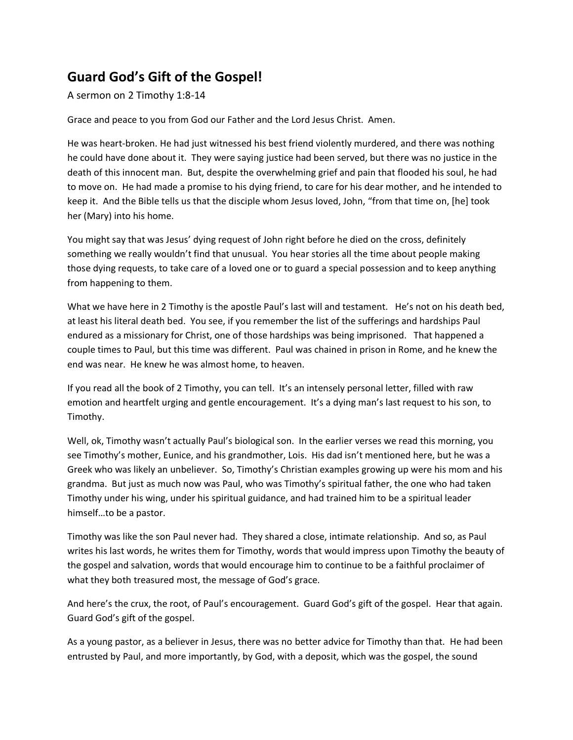## **Guard God's Gift of the Gospel!**

A sermon on 2 Timothy 1:8-14

Grace and peace to you from God our Father and the Lord Jesus Christ. Amen.

He was heart-broken. He had just witnessed his best friend violently murdered, and there was nothing he could have done about it. They were saying justice had been served, but there was no justice in the death of this innocent man. But, despite the overwhelming grief and pain that flooded his soul, he had to move on. He had made a promise to his dying friend, to care for his dear mother, and he intended to keep it. And the Bible tells us that the disciple whom Jesus loved, John, "from that time on, [he] took her (Mary) into his home.

You might say that was Jesus' dying request of John right before he died on the cross, definitely something we really wouldn't find that unusual. You hear stories all the time about people making those dying requests, to take care of a loved one or to guard a special possession and to keep anything from happening to them.

What we have here in 2 Timothy is the apostle Paul's last will and testament. He's not on his death bed, at least his literal death bed. You see, if you remember the list of the sufferings and hardships Paul endured as a missionary for Christ, one of those hardships was being imprisoned. That happened a couple times to Paul, but this time was different. Paul was chained in prison in Rome, and he knew the end was near. He knew he was almost home, to heaven.

If you read all the book of 2 Timothy, you can tell. It's an intensely personal letter, filled with raw emotion and heartfelt urging and gentle encouragement. It's a dying man's last request to his son, to Timothy.

Well, ok, Timothy wasn't actually Paul's biological son. In the earlier verses we read this morning, you see Timothy's mother, Eunice, and his grandmother, Lois. His dad isn't mentioned here, but he was a Greek who was likely an unbeliever. So, Timothy's Christian examples growing up were his mom and his grandma. But just as much now was Paul, who was Timothy's spiritual father, the one who had taken Timothy under his wing, under his spiritual guidance, and had trained him to be a spiritual leader himself…to be a pastor.

Timothy was like the son Paul never had. They shared a close, intimate relationship. And so, as Paul writes his last words, he writes them for Timothy, words that would impress upon Timothy the beauty of the gospel and salvation, words that would encourage him to continue to be a faithful proclaimer of what they both treasured most, the message of God's grace.

And here's the crux, the root, of Paul's encouragement. Guard God's gift of the gospel. Hear that again. Guard God's gift of the gospel.

As a young pastor, as a believer in Jesus, there was no better advice for Timothy than that. He had been entrusted by Paul, and more importantly, by God, with a deposit, which was the gospel, the sound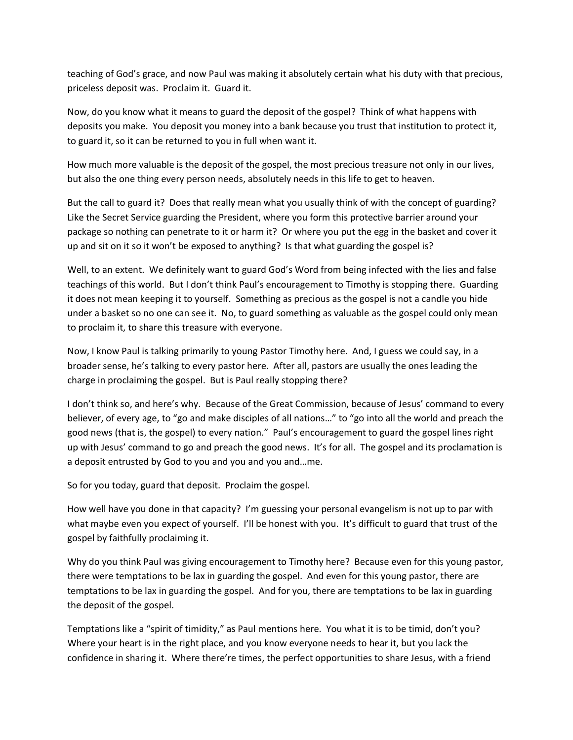teaching of God's grace, and now Paul was making it absolutely certain what his duty with that precious, priceless deposit was. Proclaim it. Guard it.

Now, do you know what it means to guard the deposit of the gospel? Think of what happens with deposits you make. You deposit you money into a bank because you trust that institution to protect it, to guard it, so it can be returned to you in full when want it.

How much more valuable is the deposit of the gospel, the most precious treasure not only in our lives, but also the one thing every person needs, absolutely needs in this life to get to heaven.

But the call to guard it? Does that really mean what you usually think of with the concept of guarding? Like the Secret Service guarding the President, where you form this protective barrier around your package so nothing can penetrate to it or harm it? Or where you put the egg in the basket and cover it up and sit on it so it won't be exposed to anything? Is that what guarding the gospel is?

Well, to an extent. We definitely want to guard God's Word from being infected with the lies and false teachings of this world. But I don't think Paul's encouragement to Timothy is stopping there. Guarding it does not mean keeping it to yourself. Something as precious as the gospel is not a candle you hide under a basket so no one can see it. No, to guard something as valuable as the gospel could only mean to proclaim it, to share this treasure with everyone.

Now, I know Paul is talking primarily to young Pastor Timothy here. And, I guess we could say, in a broader sense, he's talking to every pastor here. After all, pastors are usually the ones leading the charge in proclaiming the gospel. But is Paul really stopping there?

I don't think so, and here's why. Because of the Great Commission, because of Jesus' command to every believer, of every age, to "go and make disciples of all nations…" to "go into all the world and preach the good news (that is, the gospel) to every nation." Paul's encouragement to guard the gospel lines right up with Jesus' command to go and preach the good news. It's for all. The gospel and its proclamation is a deposit entrusted by God to you and you and you and…me.

So for you today, guard that deposit. Proclaim the gospel.

How well have you done in that capacity? I'm guessing your personal evangelism is not up to par with what maybe even you expect of yourself. I'll be honest with you. It's difficult to guard that trust of the gospel by faithfully proclaiming it.

Why do you think Paul was giving encouragement to Timothy here? Because even for this young pastor, there were temptations to be lax in guarding the gospel. And even for this young pastor, there are temptations to be lax in guarding the gospel. And for you, there are temptations to be lax in guarding the deposit of the gospel.

Temptations like a "spirit of timidity," as Paul mentions here. You what it is to be timid, don't you? Where your heart is in the right place, and you know everyone needs to hear it, but you lack the confidence in sharing it. Where there're times, the perfect opportunities to share Jesus, with a friend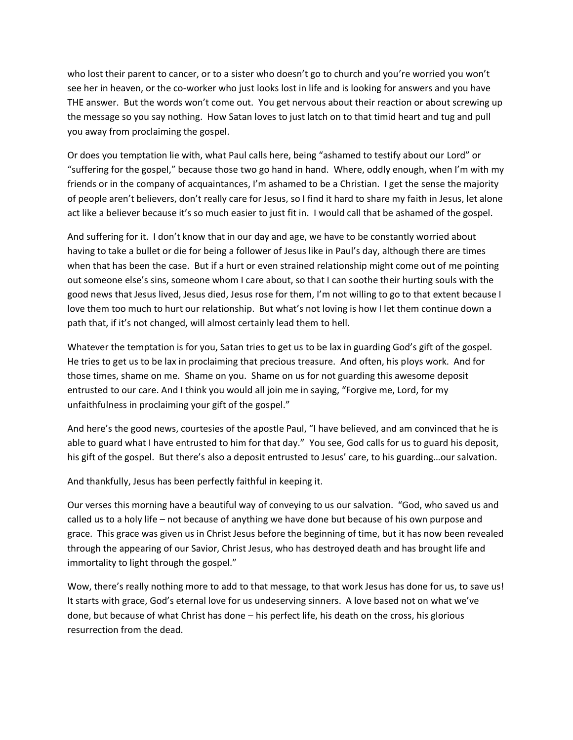who lost their parent to cancer, or to a sister who doesn't go to church and you're worried you won't see her in heaven, or the co-worker who just looks lost in life and is looking for answers and you have THE answer. But the words won't come out. You get nervous about their reaction or about screwing up the message so you say nothing. How Satan loves to just latch on to that timid heart and tug and pull you away from proclaiming the gospel.

Or does you temptation lie with, what Paul calls here, being "ashamed to testify about our Lord" or "suffering for the gospel," because those two go hand in hand. Where, oddly enough, when I'm with my friends or in the company of acquaintances, I'm ashamed to be a Christian. I get the sense the majority of people aren't believers, don't really care for Jesus, so I find it hard to share my faith in Jesus, let alone act like a believer because it's so much easier to just fit in. I would call that be ashamed of the gospel.

And suffering for it. I don't know that in our day and age, we have to be constantly worried about having to take a bullet or die for being a follower of Jesus like in Paul's day, although there are times when that has been the case. But if a hurt or even strained relationship might come out of me pointing out someone else's sins, someone whom I care about, so that I can soothe their hurting souls with the good news that Jesus lived, Jesus died, Jesus rose for them, I'm not willing to go to that extent because I love them too much to hurt our relationship. But what's not loving is how I let them continue down a path that, if it's not changed, will almost certainly lead them to hell.

Whatever the temptation is for you, Satan tries to get us to be lax in guarding God's gift of the gospel. He tries to get us to be lax in proclaiming that precious treasure. And often, his ploys work. And for those times, shame on me. Shame on you. Shame on us for not guarding this awesome deposit entrusted to our care. And I think you would all join me in saying, "Forgive me, Lord, for my unfaithfulness in proclaiming your gift of the gospel."

And here's the good news, courtesies of the apostle Paul, "I have believed, and am convinced that he is able to guard what I have entrusted to him for that day." You see, God calls for us to guard his deposit, his gift of the gospel. But there's also a deposit entrusted to Jesus' care, to his guarding…our salvation.

And thankfully, Jesus has been perfectly faithful in keeping it.

Our verses this morning have a beautiful way of conveying to us our salvation. "God, who saved us and called us to a holy life – not because of anything we have done but because of his own purpose and grace. This grace was given us in Christ Jesus before the beginning of time, but it has now been revealed through the appearing of our Savior, Christ Jesus, who has destroyed death and has brought life and immortality to light through the gospel."

Wow, there's really nothing more to add to that message, to that work Jesus has done for us, to save us! It starts with grace, God's eternal love for us undeserving sinners. A love based not on what we've done, but because of what Christ has done – his perfect life, his death on the cross, his glorious resurrection from the dead.